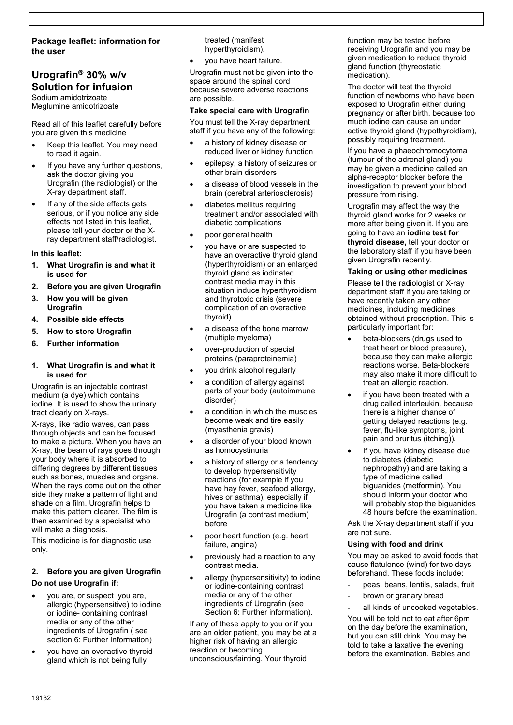# **Package leaflet: information for the user**

# **Urografin® 30% w/v Solution for infusion**

Sodium amidotrizoate Meglumine amidotrizoate

Read all of this leaflet carefully before you are given this medicine

- Keep this leaflet. You may need to read it again.
- If you have any further questions, ask the doctor giving you Urografin (the radiologist) or the X-ray department staff.
- If any of the side effects gets serious, or if you notice any side effects not listed in this leaflet, please tell your doctor or the Xray department staff/radiologist.

### **In this leaflet:**

- **1. What Urografin is and what it is used for**
- **2. Before you are given Urografin**
- **3. How you will be given Urografin**
- **4. Possible side effects**
- **5. How to store Urografin**
- **6. Further information**

#### **1. What Urografin is and what it is used for**

Urografin is an injectable contrast medium (a dye) which contains iodine. It is used to show the urinary tract clearly on X-rays.

X-rays, like radio waves, can pass through objects and can be focused to make a picture. When you have an X-ray, the beam of rays goes through your body where it is absorbed to differing degrees by different tissues such as bones, muscles and organs. When the rays come out on the other side they make a pattern of light and shade on a film. Urografin helps to make this pattern clearer. The film is then examined by a specialist who will make a diagnosis.

This medicine is for diagnostic use only.

# **2. Before you are given Urografin Do not use Urografin if:**

- you are, or suspect you are, allergic (hypersensitive) to iodine or iodine- containing contrast media or any of the other ingredients of Urografin ( see section 6: Further Information)
- you have an overactive thyroid gland which is not being fully

treated (manifest hyperthyroidism).

you have heart failure.

Urografin must not be given into the space around the spinal cord because severe adverse reactions are possible.

### **Take special care with Urografin**

You must tell the X-ray department staff if you have any of the following:

- a history of kidney disease or reduced liver or kidney function
- epilepsy, a history of seizures or other brain disorders
- a disease of blood vessels in the brain (cerebral arteriosclerosis)
- diabetes mellitus requiring treatment and/or associated with diabetic complications
- poor general health
- you have or are suspected to have an overactive thyroid gland (hyperthyroidism) or an enlarged thyroid gland as iodinated contrast media may in this situation induce hyperthyroidism and thyrotoxic crisis (severe complication of an overactive thyroid).
- a disease of the bone marrow (multiple myeloma)
- over-production of special proteins (paraproteinemia)
- you drink alcohol regularly
- a condition of allergy against parts of your body (autoimmune disorder)
- a condition in which the muscles become weak and tire easily (myasthenia gravis)
- a disorder of your blood known as homocystinuria
- a history of allergy or a tendency to develop hypersensitivity reactions (for example if you have hay fever, seafood allergy, hives or asthma), especially if you have taken a medicine like Urografin (a contrast medium) before
- poor heart function (e.g. heart failure, angina)
- previously had a reaction to any contrast media.
- allergy (hypersensitivity) to iodine or iodine-containing contrast media or any of the other ingredients of Urografin (see Section 6: Further information).

If any of these apply to you or if you are an older patient, you may be at a higher risk of having an allergic reaction or becoming unconscious/fainting. Your thyroid

function may be tested before receiving Urografin and you may be given medication to reduce thyroid gland function (thyreostatic medication).

The doctor will test the thyroid function of newborns who have been exposed to Urografin either during pregnancy or after birth, because too much iodine can cause an under active thyroid gland (hypothyroidism), possibly requiring treatment.

If you have a phaeochromocytoma (tumour of the adrenal gland) you may be given a medicine called an alpha-receptor blocker before the investigation to prevent your blood pressure from rising.

Urografin may affect the way the thyroid gland works for 2 weeks or more after being given it. If you are going to have an **iodine test for thyroid disease,** tell your doctor or the laboratory staff if you have been given Urografin recently.

### **Taking or using other medicines**

Please tell the radiologist or X-ray department staff if you are taking or have recently taken any other medicines, including medicines obtained without prescription. This is particularly important for:

- beta-blockers (drugs used to treat heart or blood pressure), because they can make allergic reactions worse. Beta-blockers may also make it more difficult to treat an allergic reaction.
- if you have been treated with a drug called interleukin, because there is a higher chance of getting delayed reactions (e.g. fever, flu-like symptoms, joint pain and pruritus (itching)).
- If you have kidney disease due to diabetes (diabetic nephropathy) and are taking a type of medicine called biguanides (metformin). You should inform your doctor who will probably stop the biguanides 48 hours before the examination.

Ask the X-ray department staff if you are not sure.

### **Using with food and drink**

You may be asked to avoid foods that cause flatulence (wind) for two days beforehand. These foods include:

- peas, beans, lentils, salads, fruit
- brown or granary bread

all kinds of uncooked vegetables.

You will be told not to eat after 6pm on the day before the examination, but you can still drink. You may be told to take a laxative the evening before the examination. Babies and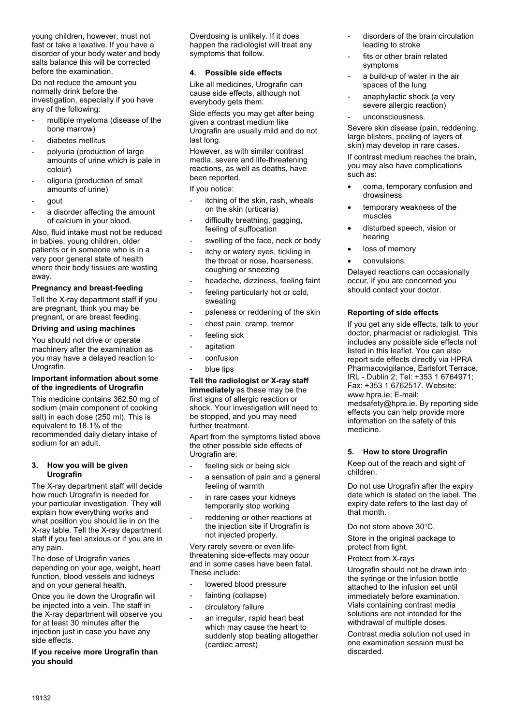young children, however, must not fast or take a laxative. If you have a disorder of your body water and body salts balance this will be corrected before the examination.

Do not reduce the amount you normally drink before the investigation, especially if you have any of the following:

- multiple myeloma (disease of the bone marrow)
- diabetes mellitus
- polyuria (production of large amounts of urine which is pale in colour)
- oliguria (production of small amounts of urine)
- gout
- a disorder affecting the amount of calcium in your blood.

Also, fluid intake must not be reduced in babies, young children, older patients or in someone who is in a very poor general state of health where their body tissues are wasting away.

### **Pregnancy and breast-feeding**

Tell the X-ray department staff if you are pregnant, think you may be pregnant, or are breast feeding.

### **Driving and using machines**

You should not drive or operate machinery after the examination as you may have a delayed reaction to Urografin.

### **Important information about some of the ingredients of Urografin**

This medicine contains 362.50 mg of sodium (main component of cooking salt) in each dose (250 ml). This is equivalent to 18.1% of the recommended daily dietary intake of sodium for an adult.

#### **3. How you will be given Urografin**

The X-ray department staff will decide how much Urografin is needed for your particular investigation. They will explain how everything works and what position you should lie in on the X-ray table. Tell the X-ray department staff if you feel anxious or if you are in any pain.

The dose of Urografin varies depending on your age, weight, heart function, blood vessels and kidneys and on your general health.

Once you lie down the Urografin will be injected into a vein. The staff in the X-ray department will observe you for at least 30 minutes after the injection just in case you have any side effects.

**If you receive more Urografin than you should**

Overdosing is unlikely. If it does happen the radiologist will treat any symptoms that follow.

# **4. Possible side effects**

Like all medicines, Urografin can cause side effects, although not everybody gets them.

Side effects you may get after being given a contrast medium like Urografin are usually mild and do not last long.

However, as with similar contrast media, severe and life-threatening reactions, as well as deaths, have been reported.

### If you notice:

- itching of the skin, rash, wheals on the skin (urticaria)
- difficulty breathing, gagging, feeling of suffocation
- swelling of the face, neck or body
- itchy or watery eyes, tickling in the throat or nose, hoarseness, coughing or sneezing
- headache, dizziness, feeling faint
- feeling particularly hot or cold, sweating
- paleness or reddening of the skin
- chest pain, cramp, tremor
- feeling sick
- agitation
- confusion
- blue lips

# **Tell the radiologist or X-ray staff**

**immediately** as these may be the first signs of allergic reaction or shock. Your investigation will need to be stopped, and you may need further treatment.

Apart from the symptoms listed above the other possible side effects of Urografin are:

- feeling sick or being sick
- a sensation of pain and a general feeling of warmth
- in rare cases your kidneys temporarily stop working
- reddening or other reactions at the injection site if Urografin is not injected properly.

Very rarely severe or even lifethreatening side-effects may occur and in some cases have been fatal. These include:

- lowered blood pressure
- fainting (collapse)
- circulatory failure
- an irregular, rapid heart beat which may cause the heart to suddenly stop beating altogether (cardiac arrest)
- disorders of the brain circulation leading to stroke
- fits or other brain related symptoms
- a build-up of water in the air spaces of the lung
- anaphylactic shock (a very severe allergic reaction)
- unconsciousness.

Severe skin disease (pain, reddening, large blisters, peeling of layers of skin) may develop in rare cases.

If contrast medium reaches the brain, you may also have complications such as:

- coma, temporary confusion and drowsiness
- temporary weakness of the muscles
- disturbed speech, vision or hearing
- loss of memory
- convulsions.

Delayed reactions can occasionally occur, if you are concerned you should contact your doctor.

### **Reporting of side effects**

If you get any side effects, talk to your doctor, pharmacist or radiologist. This includes any possible side effects not listed in this leaflet. You can also report side effects directly via HPRA Pharmacovigilance, Earlsfort Terrace, IRL - Dublin 2; Tel: +353 1 6764971; Fax: +353 1 6762517. Website: www.hpra.ie; E-mail: medsafety@hpra.ie. By reporting side effects you can help provide more information on the safety of this medicine.

### **5. How to store Urografin**

Keep out of the reach and sight of children.

Do not use Urografin after the expiry date which is stated on the label. The expiry date refers to the last day of that month.

Do not store above 30°C.

Store in the original package to protect from light.

Protect from X-rays

Urografin should not be drawn into the syringe or the infusion bottle attached to the infusion set until immediately before examination. Vials containing contrast media solutions are not intended for the withdrawal of multiple doses.

Contrast media solution not used in one examination session must be discarded.